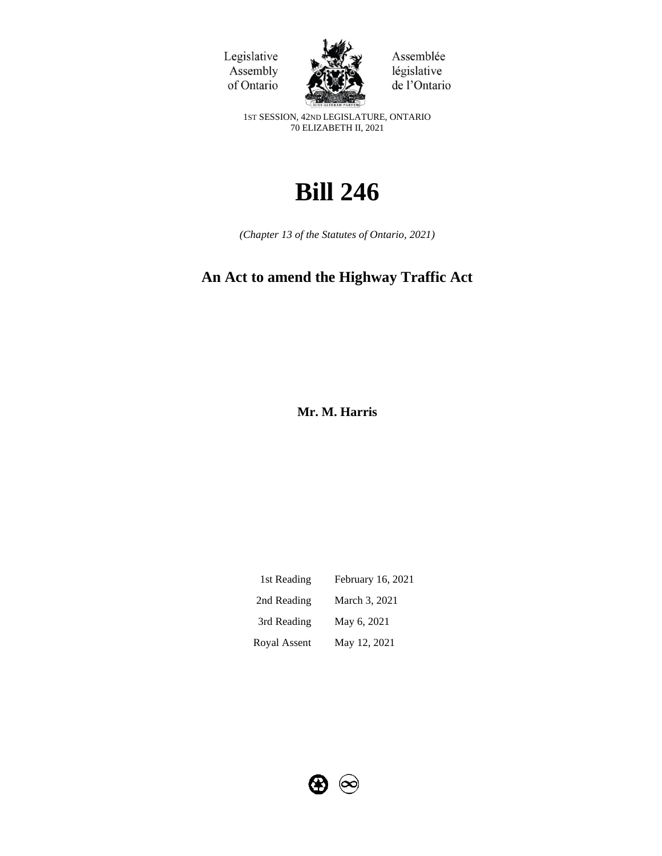Legislative Assembly of Ontario



Assemblée législative de l'Ontario

1ST SESSION, 42ND LEGISLATURE, ONTARIO 70 ELIZABETH II, 2021

# **Bill 246**

*(Chapter 13 of the Statutes of Ontario, 2021)*

# **An Act to amend the Highway Traffic Act**

**Mr. M. Harris**

| 1st Reading  | February 16, 2021 |
|--------------|-------------------|
| 2nd Reading  | March 3, 2021     |
| 3rd Reading  | May 6, 2021       |
| Royal Assent | May 12, 2021      |

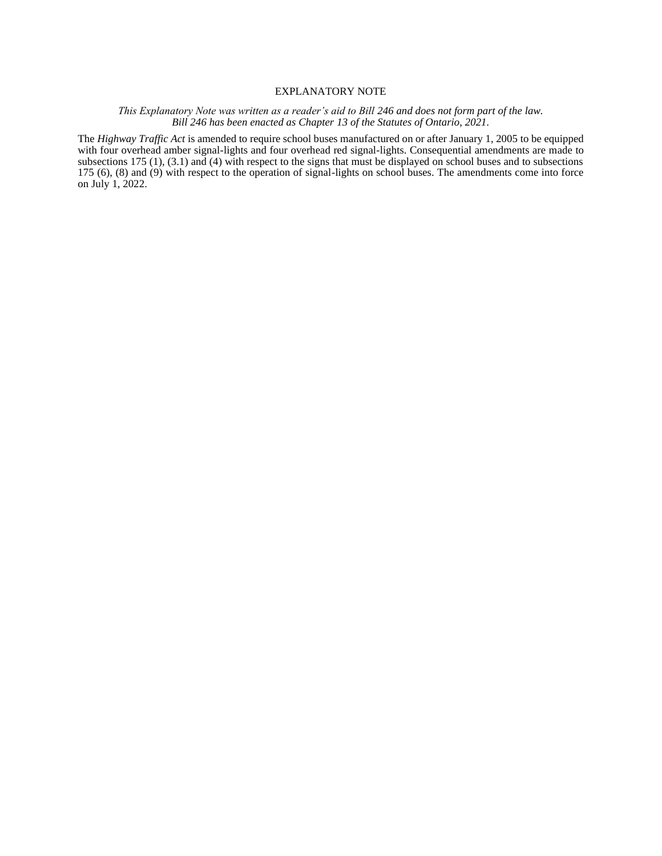# EXPLANATORY NOTE

#### *This Explanatory Note was written as a reader's aid to Bill 246 and does not form part of the law. Bill 246 has been enacted as Chapter 13 of the Statutes of Ontario, 2021.*

The *Highway Traffic Act* is amended to require school buses manufactured on or after January 1, 2005 to be equipped with four overhead amber signal-lights and four overhead red signal-lights. Consequential amendments are made to subsections 175 (1), (3.1) and (4) with respect to the signs that must be displayed on school buses and to subsections 175 (6), (8) and (9) with respect to the operation of signal-lights on school buses. The amendments come into force on July 1, 2022.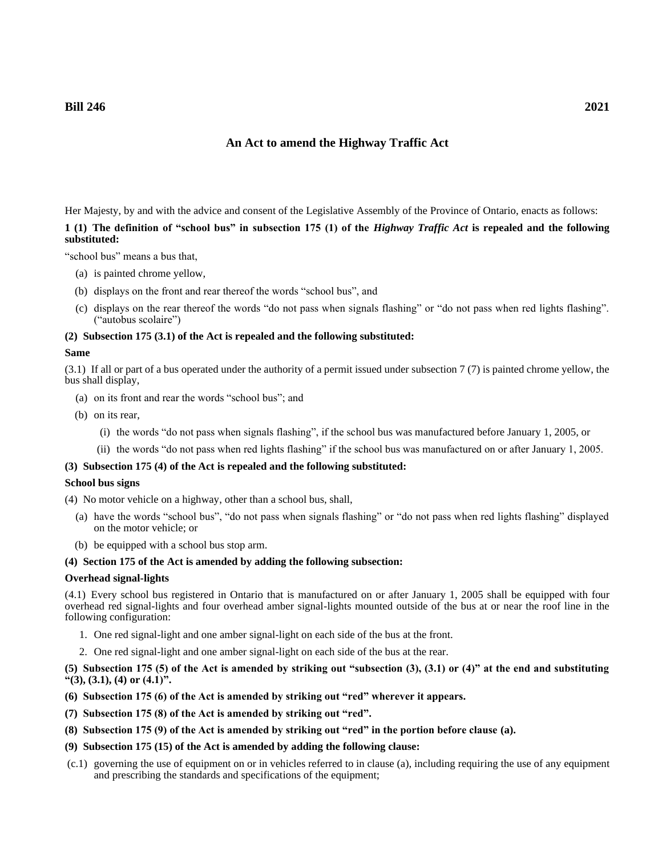# **An Act to amend the Highway Traffic Act**

Her Majesty, by and with the advice and consent of the Legislative Assembly of the Province of Ontario, enacts as follows: **1 (1) The definition of "school bus" in subsection 175 (1) of the** *Highway Traffic Act* **is repealed and the following substituted:**

"school bus" means a bus that,

- (a) is painted chrome yellow,
- (b) displays on the front and rear thereof the words "school bus", and
- (c) displays on the rear thereof the words "do not pass when signals flashing" or "do not pass when red lights flashing". ("autobus scolaire")

#### **(2) Subsection 175 (3.1) of the Act is repealed and the following substituted:**

#### **Same**

(3.1) If all or part of a bus operated under the authority of a permit issued under subsection 7 (7) is painted chrome yellow, the bus shall display,

- (a) on its front and rear the words "school bus"; and
- (b) on its rear,
	- (i) the words "do not pass when signals flashing", if the school bus was manufactured before January 1, 2005, or
	- (ii) the words "do not pass when red lights flashing" if the school bus was manufactured on or after January 1, 2005.

## **(3) Subsection 175 (4) of the Act is repealed and the following substituted:**

# **School bus signs**

(4) No motor vehicle on a highway, other than a school bus, shall,

- (a) have the words "school bus", "do not pass when signals flashing" or "do not pass when red lights flashing" displayed on the motor vehicle; or
- (b) be equipped with a school bus stop arm.

#### **(4) Section 175 of the Act is amended by adding the following subsection:**

#### **Overhead signal-lights**

(4.1) Every school bus registered in Ontario that is manufactured on or after January 1, 2005 shall be equipped with four overhead red signal-lights and four overhead amber signal-lights mounted outside of the bus at or near the roof line in the following configuration:

- 1. One red signal-light and one amber signal-light on each side of the bus at the front.
- 2. One red signal-light and one amber signal-light on each side of the bus at the rear.

# **(5) Subsection 175 (5) of the Act is amended by striking out "subsection (3), (3.1) or (4)" at the end and substituting "(3), (3.1), (4) or (4.1)".**

- **(6) Subsection 175 (6) of the Act is amended by striking out "red" wherever it appears.**
- **(7) Subsection 175 (8) of the Act is amended by striking out "red".**
- **(8) Subsection 175 (9) of the Act is amended by striking out "red" in the portion before clause (a).**
- **(9) Subsection 175 (15) of the Act is amended by adding the following clause:**
- (c.1) governing the use of equipment on or in vehicles referred to in clause (a), including requiring the use of any equipment and prescribing the standards and specifications of the equipment;